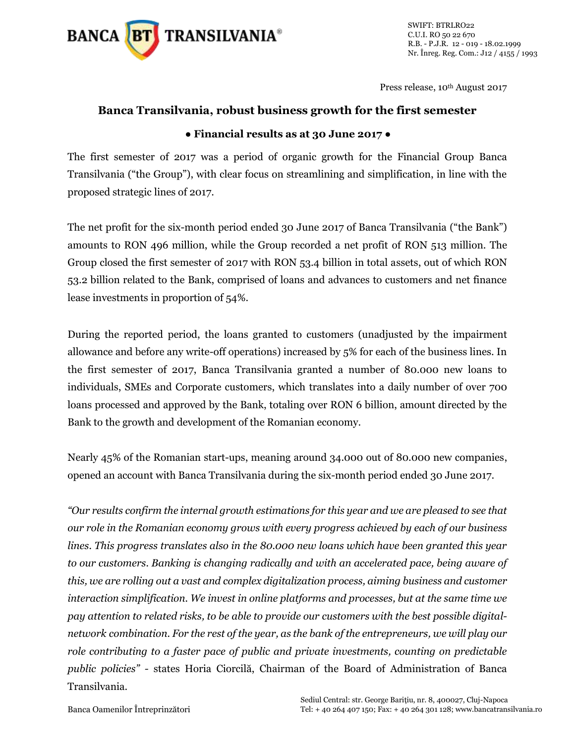

SWIFT: BTRLRO22 C.U.I. RO 50 22 670 R.B. - P.J.R. 12 - 019 - 18.02.1999 Nr. Înreg. Reg. Com.: J12 / 4155 / 1993

Press release, 10<sup>th</sup> August 2017

## **Banca Transilvania, robust business growth for the first semester ● Financial results as at 30 June 2017 ●**

The first semester of 2017 was a period of organic growth for the Financial Group Banca Transilvania ("the Group"), with clear focus on streamlining and simplification, in line with the proposed strategic lines of 2017.

The net profit for the six-month period ended 30 June 2017 of Banca Transilvania ("the Bank") amounts to RON 496 million, while the Group recorded a net profit of RON 513 million. The Group closed the first semester of 2017 with RON 53.4 billion in total assets, out of which RON 53.2 billion related to the Bank, comprised of loans and advances to customers and net finance lease investments in proportion of 54%.

During the reported period, the loans granted to customers (unadjusted by the impairment allowance and before any write-off operations) increased by 5% for each of the business lines. In the first semester of 2017, Banca Transilvania granted a number of 80.000 new loans to individuals, SMEs and Corporate customers, which translates into a daily number of over 700 loans processed and approved by the Bank, totaling over RON 6 billion, amount directed by the Bank to the growth and development of the Romanian economy.

Nearly 45% of the Romanian start-ups, meaning around 34.000 out of 80.000 new companies, opened an account with Banca Transilvania during the six-month period ended 30 June 2017.

*"Our results confirm the internal growth estimations for this year and we are pleased to see that our role in the Romanian economy grows with every progress achieved by each of our business lines. This progress translates also in the 80.000 new loans which have been granted this year to our customers. Banking is changing radically and with an accelerated pace, being aware of this, we are rolling out a vast and complex digitalization process, aiming business and customer interaction simplification. We invest in online platforms and processes, but at the same time we pay attention to related risks, to be able to provide our customers with the best possible digitalnetwork combination. For the rest of the year, as the bank of the entrepreneurs, we will play our role contributing to a faster pace of public and private investments, counting on predictable public policies" -* states Horia Ciorcilă, Chairman of the Board of Administration of Banca Transilvania.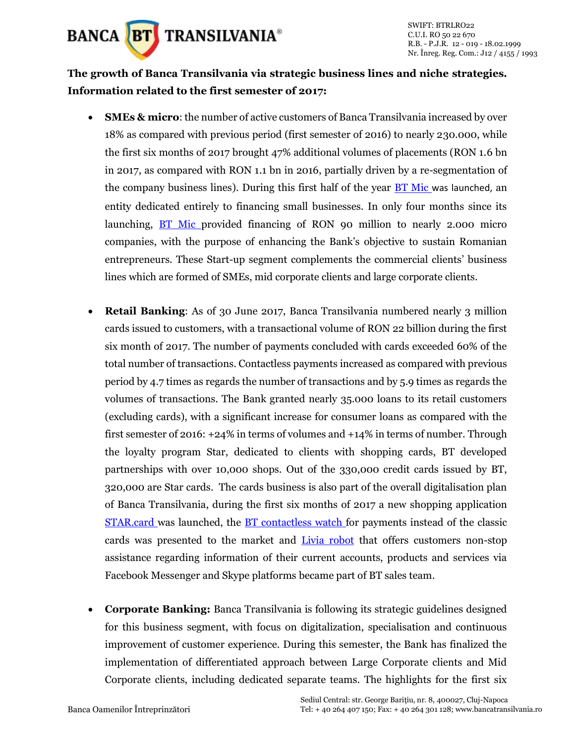

## **The growth of Banca Transilvania via strategic business lines and niche strategies. Information related to the first semester of 2017:**

- **SMEs & micro**: the number of active customers of Banca Transilvania increased by over 18% as compared with previous period (first semester of 2016) to nearly 230.000, while the first six months of 2017 brought 47% additional volumes of placements (RON 1.6 bn in 2017, as compared with RON 1.1 bn in 2016, partially driven by a re-segmentation of the company business lines). During this first half of the year [BT Mic](https://www.bancatransilvania.ro/bt-mic/) was launched, an entity dedicated entirely to financing small businesses. In only four months since its launching, [BT Mic](https://www.bancatransilvania.ro/bt-mic/) provided financing of RON 90 million to nearly 2.000 micro companies, with the purpose of enhancing the Bank's objective to sustain Romanian entrepreneurs. These Start-up segment complements the commercial clients' business lines which are formed of SMEs, mid corporate clients and large corporate clients.
- **Retail Banking:** As of 30 June 2017, Banca Transilvania numbered nearly 3 million cards issued to customers, with a transactional volume of RON 22 billion during the first six month of 2017. The number of payments concluded with cards exceeded 60% of the total number of transactions. Contactless payments increased as compared with previous period by 4.7 times as regards the number of transactions and by 5.9 times as regards the volumes of transactions. The Bank granted nearly 35.000 loans to its retail customers (excluding cards), with a significant increase for consumer loans as compared with the first semester of 2016: +24% in terms of volumes and +14% in terms of number. Through the loyalty program Star, dedicated to clients with shopping cards, BT developed partnerships with over 10,000 shops. Out of the 330,000 credit cards issued by BT, 320,000 are Star cards. The cards business is also part of the overall digitalisation plan of Banca Transilvania, during the first six months of 2017 a new shopping application [STAR.card](http://www.starbt.ro/appSTAR/) was launched, the [BT contactless](https://www.bancatransilvania.ro/bt-pay/) watch for payments instead of the classic cards was presented to the market and [Livia](https://www.bancatransilvania.ro/livia-bt/) robot that offers customers non-stop assistance regarding information of their current accounts, products and services via Facebook Messenger and Skype platforms became part of BT sales team.
- **Corporate Banking:** Banca Transilvania is following its strategic guidelines designed for this business segment, with focus on digitalization, specialisation and continuous improvement of customer experience. During this semester, the Bank has finalized the implementation of differentiated approach between Large Corporate clients and Mid Corporate clients, including dedicated separate teams. The highlights for the first six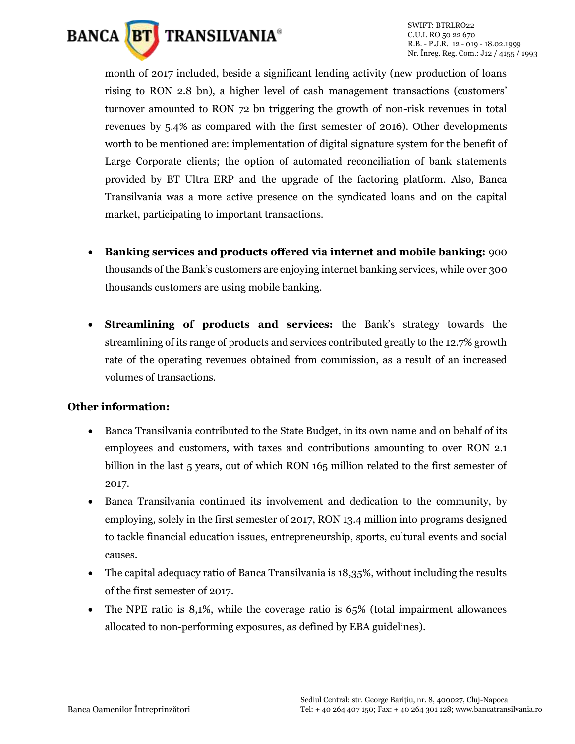

SWIFT: BTRLRO22 C.U.I. RO 50 22 670 R.B. - P.J.R. 12 - 019 - 18.02.1999 Nr. Înreg. Reg. Com.: J12 / 4155 / 1993

month of 2017 included, beside a significant lending activity (new production of loans rising to RON 2.8 bn), a higher level of cash management transactions (customers' turnover amounted to RON 72 bn triggering the growth of non-risk revenues in total revenues by 5.4% as compared with the first semester of 2016). Other developments worth to be mentioned are: implementation of digital signature system for the benefit of Large Corporate clients; the option of automated reconciliation of bank statements provided by BT Ultra ERP and the upgrade of the factoring platform. Also, Banca Transilvania was a more active presence on the syndicated loans and on the capital market, participating to important transactions.

- **Banking services and products offered via internet and mobile banking:** 900 thousands of the Bank's customers are enjoying internet banking services, while over 300 thousands customers are using mobile banking.
- **Streamlining of products and services:** the Bank's strategy towards the streamlining of its range of products and services contributed greatly to the 12.7% growth rate of the operating revenues obtained from commission, as a result of an increased volumes of transactions.

## **Other information:**

- Banca Transilvania contributed to the State Budget, in its own name and on behalf of its employees and customers, with taxes and contributions amounting to over RON 2.1 billion in the last 5 years, out of which RON 165 million related to the first semester of 2017.
- Banca Transilvania continued its involvement and dedication to the community, by employing, solely in the first semester of 2017, RON 13.4 million into programs designed to tackle financial education issues, entrepreneurship, sports, cultural events and social causes.
- The capital adequacy ratio of Banca Transilvania is 18,35%, without including the results of the first semester of 2017.
- The NPE ratio is 8,1%, while the coverage ratio is 65% (total impairment allowances allocated to non-performing exposures, as defined by EBA guidelines).